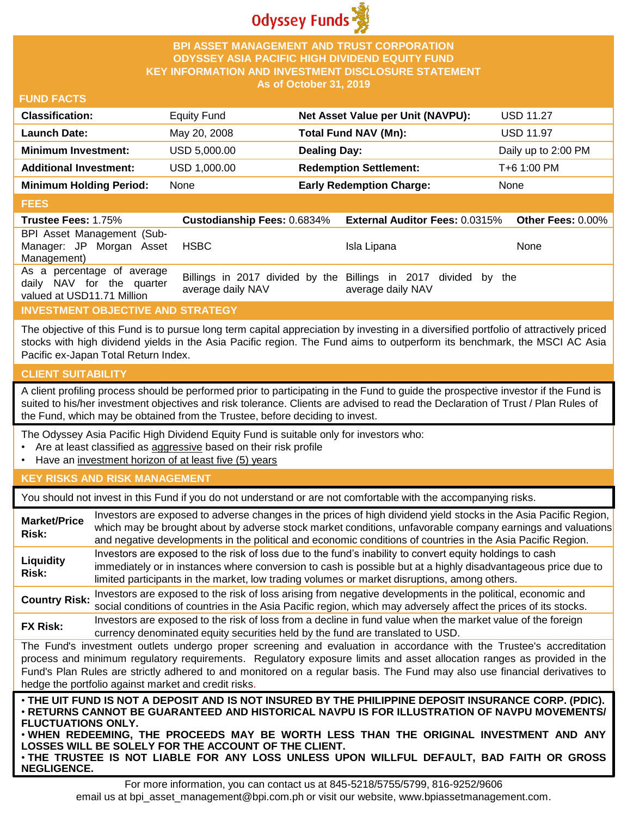

## **BPI ASSET MANAGEMENT AND TRUST CORPORATION ODYSSEY ASIA PACIFIC HIGH DIVIDEND EQUITY FUND KEY INFORMATION AND INVESTMENT DISCLOSURE STATEMENT As of October 31, 2019**

#### **FUND FACTS**

| <b>Classification:</b>         | Equity Fund  | Net Asset Value per Unit (NAVPU): | <b>USD 11.27</b>    |
|--------------------------------|--------------|-----------------------------------|---------------------|
| <b>Launch Date:</b>            | May 20, 2008 | Total Fund NAV (Mn):              | <b>USD 11.97</b>    |
| <b>Minimum Investment:</b>     | USD 5,000.00 | <b>Dealing Day:</b>               | Daily up to 2:00 PM |
| <b>Additional Investment:</b>  | USD 1,000.00 | <b>Redemption Settlement:</b>     | T+6 1:00 PM         |
| <b>Minimum Holding Period:</b> | None         | <b>Early Redemption Charge:</b>   | None                |

#### **FEES**

| <b>Trustee Fees: 1.75%</b>                                                            |                   | <b>Custodianship Fees: 0.6834% External Auditor Fees: 0.0315%</b>                    | Other Fees: $0.00\%$ |
|---------------------------------------------------------------------------------------|-------------------|--------------------------------------------------------------------------------------|----------------------|
| BPI Asset Management (Sub-<br>Manager: JP Morgan Asset<br>Management)                 | HSBC.             | Isla Lipana                                                                          | <b>None</b>          |
| As a percentage of average<br>daily NAV for the quarter<br>valued at USD11.71 Million | average daily NAV | Billings in 2017 divided by the Billings in 2017 divided by the<br>average daily NAV |                      |

# **INVESTMENT OBJECTIVE AND STRATEGY**

The objective of this Fund is to pursue long term capital appreciation by investing in a diversified portfolio of attractively priced stocks with high dividend yields in the Asia Pacific region. The Fund aims to outperform its benchmark, the MSCI AC Asia Pacific ex-Japan Total Return Index.

## **CLIENT SUITABILITY**

**NEGLIGENCE.**

A client profiling process should be performed prior to participating in the Fund to guide the prospective investor if the Fund is suited to his/her investment objectives and risk tolerance. Clients are advised to read the Declaration of Trust / Plan Rules of the Fund, which may be obtained from the Trustee, before deciding to invest.

The Odyssey Asia Pacific High Dividend Equity Fund is suitable only for investors who:

- Are at least classified as aggressive based on their risk profile
- Have an investment horizon of at least five (5) years

## **KEY RISKS AND RISK MANAGEMENT**

You should not invest in this Fund if you do not understand or are not comfortable with the accompanying risks.

| <b>Market/Price</b><br>Risk:                                                                                                                                                                                                                                                                                                                                                                                                         | Investors are exposed to adverse changes in the prices of high dividend yield stocks in the Asia Pacific Region,<br>which may be brought about by adverse stock market conditions, unfavorable company earnings and valuations<br>and negative developments in the political and economic conditions of countries in the Asia Pacific Region.                                                                                                   |  |  |
|--------------------------------------------------------------------------------------------------------------------------------------------------------------------------------------------------------------------------------------------------------------------------------------------------------------------------------------------------------------------------------------------------------------------------------------|-------------------------------------------------------------------------------------------------------------------------------------------------------------------------------------------------------------------------------------------------------------------------------------------------------------------------------------------------------------------------------------------------------------------------------------------------|--|--|
| Liquidity<br>Risk:                                                                                                                                                                                                                                                                                                                                                                                                                   | Investors are exposed to the risk of loss due to the fund's inability to convert equity holdings to cash<br>immediately or in instances where conversion to cash is possible but at a highly disadvantageous price due to<br>limited participants in the market, low trading volumes or market disruptions, among others.                                                                                                                       |  |  |
| <b>Country Risk:</b>                                                                                                                                                                                                                                                                                                                                                                                                                 | Investors are exposed to the risk of loss arising from negative developments in the political, economic and<br>social conditions of countries in the Asia Pacific region, which may adversely affect the prices of its stocks.                                                                                                                                                                                                                  |  |  |
| <b>FX Risk:</b>                                                                                                                                                                                                                                                                                                                                                                                                                      | Investors are exposed to the risk of loss from a decline in fund value when the market value of the foreign<br>currency denominated equity securities held by the fund are translated to USD.                                                                                                                                                                                                                                                   |  |  |
| The Fund's investment outlets undergo proper screening and evaluation in accordance with the Trustee's accreditation<br>process and minimum regulatory requirements. Regulatory exposure limits and asset allocation ranges as provided in the<br>Fund's Plan Rules are strictly adhered to and monitored on a regular basis. The Fund may also use financial derivatives to<br>hedge the portfolio against market and credit risks. |                                                                                                                                                                                                                                                                                                                                                                                                                                                 |  |  |
| <b>FLUCTUATIONS ONLY.</b>                                                                                                                                                                                                                                                                                                                                                                                                            | . THE UIT FUND IS NOT A DEPOSIT AND IS NOT INSURED BY THE PHILIPPINE DEPOSIT INSURANCE CORP. (PDIC).<br>⋅RETURNS CANNOT BE GUARANTEED AND HISTORICAL NAVPU IS FOR ILLUSTRATION OF NAVPU MOVEMENTS/<br>. WHEN REDEEMING, THE PROCEEDS MAY BE WORTH LESS THAN THE ORIGINAL INVESTMENT AND ANY<br>LOSSES WILL BE SOLELY FOR THE ACCOUNT OF THE CLIENT.<br>. THE TRUSTEE IS NOT LIABLE FOR ANY LOSS UNLESS UPON WILLFUL DEFAULT, BAD FAITH OR GROSS |  |  |

For more information, you can contact us at 845-5218/5755/5799, 816-9252/9606 email us at bpi\_asset\_management@bpi.com.ph or visit our website, www.bpiassetmanagement.com.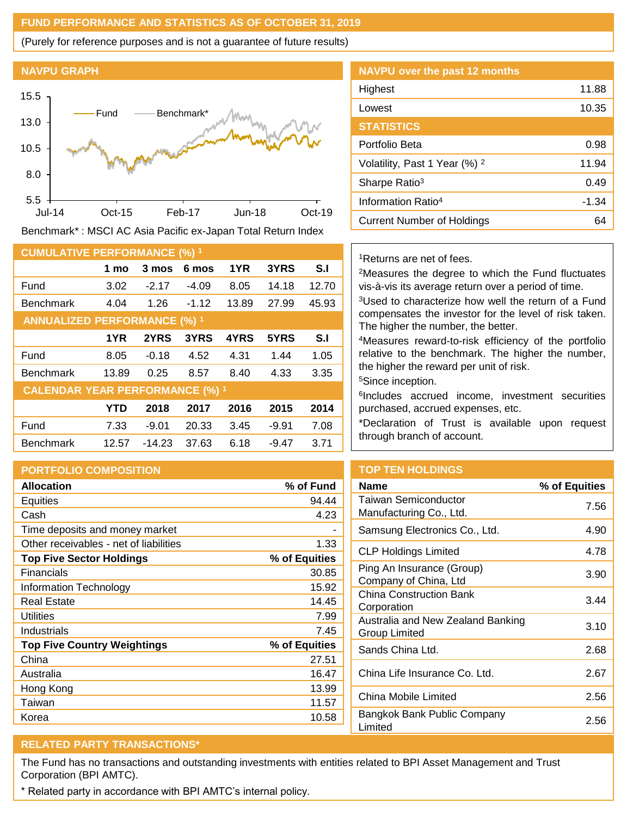## **FUND PERFORMANCE AND STATISTICS AS OF OCTOBER 31, 2019**

(Purely for reference purposes and is not a guarantee of future results)

### **NAVPU GRAPH**



Benchmark\* : MSCI AC Asia Pacific ex-Japan Total Return Index

| <b>CUMULATIVE PERFORMANCE (%) 1</b>    |            |          |         |       |         |       |
|----------------------------------------|------------|----------|---------|-------|---------|-------|
|                                        | 1 mo       | 3 mos    | 6 mos   | 1YR   | 3YRS    | S.I   |
| Fund                                   | 3.02       | $-2.17$  | $-4.09$ | 8.05  | 14.18   | 12.70 |
| <b>Benchmark</b>                       | 4.04       | 1.26     | $-1.12$ | 13.89 | 27.99   | 45.93 |
| <b>ANNUALIZED PERFORMANCE (%) 1</b>    |            |          |         |       |         |       |
|                                        | 1YR        | 2YRS     | 3YRS    | 4YRS  | 5YRS    | S.I   |
| Fund                                   | 8.05       | $-0.18$  | 4.52    | 4.31  | 1.44    | 1.05  |
| <b>Benchmark</b>                       | 13.89      | 0.25     | 8.57    | 8.40  | 4.33    | 3.35  |
| <b>CALENDAR YEAR PERFORMANCE (%) 1</b> |            |          |         |       |         |       |
|                                        | <b>YTD</b> | 2018     | 2017    | 2016  | 2015    | 2014  |
| Fund                                   | 7.33       | $-9.01$  | 20.33   | 3.45  | $-9.91$ | 7.08  |
| <b>Benchmark</b>                       | 12.57      | $-14.23$ | 37.63   | 6.18  | $-9.47$ | 3.71  |

#### **PORTFOLIO COMPOSITION**

| <b>Allocation</b>                      | % of Fund     |
|----------------------------------------|---------------|
| <b>Equities</b>                        | 94.44         |
| Cash                                   | 4.23          |
| Time deposits and money market         |               |
| Other receivables - net of liabilities | 1.33          |
| <b>Top Five Sector Holdings</b>        | % of Equities |
| Financials                             | 30.85         |
| Information Technology                 | 15.92         |
| <b>Real Estate</b>                     | 14.45         |
| Utilities                              | 7.99          |
| Industrials                            | 7.45          |
| <b>Top Five Country Weightings</b>     | % of Equities |
| China                                  | 27.51         |
| Australia                              | 16.47         |
| Hong Kong                              | 13.99         |
| Taiwan                                 | 11.57         |
| Korea                                  | 10.58         |

| <b>NAVPU over the past 12 months</b>     |         |
|------------------------------------------|---------|
| Highest                                  | 11.88   |
| Lowest                                   | 10.35   |
| <b>STATISTICS</b>                        |         |
| Portfolio Beta                           | 0.98    |
| Volatility, Past 1 Year (%) <sup>2</sup> | 11.94   |
| Sharpe Ratio <sup>3</sup>                | 0.49    |
| Information Ratio <sup>4</sup>           | $-1.34$ |
| <b>Current Number of Holdings</b>        | 64      |

## <sup>1</sup>Returns are net of fees.

<sup>2</sup>Measures the degree to which the Fund fluctuates vis-à-vis its average return over a period of time.

<sup>3</sup>Used to characterize how well the return of a Fund compensates the investor for the level of risk taken. The higher the number, the better.

<sup>4</sup>Measures reward-to-risk efficiency of the portfolio relative to the benchmark. The higher the number, the higher the reward per unit of risk.

<sup>5</sup>Since inception.

6 Includes accrued income, investment securities purchased, accrued expenses, etc.

\*Declaration of Trust is available upon request through branch of account.

## **TOP TEN HOLDINGS**

| <b>Name</b>                                        | % of Equities |
|----------------------------------------------------|---------------|
| Taiwan Semiconductor<br>Manufacturing Co., Ltd.    | 7.56          |
| Samsung Electronics Co., Ltd.                      | 4.90          |
| <b>CLP Holdings Limited</b>                        | 4.78          |
| Ping An Insurance (Group)<br>Company of China, Ltd | 3.90          |
| <b>China Construction Bank</b><br>Corporation      | 3.44          |
| Australia and New Zealand Banking<br>Group Limited | 3.10          |
| Sands China Ltd.                                   | 2.68          |
| China Life Insurance Co. Ltd.                      | 2.67          |
| China Mobile Limited                               | 2.56          |
| Bangkok Bank Public Company<br>Limited             | 2.56          |

# **RELATED PARTY TRANSACTIONS\***

The Fund has no transactions and outstanding investments with entities related to BPI Asset Management and Trust Corporation (BPI AMTC).

\* Related party in accordance with BPI AMTC's internal policy.